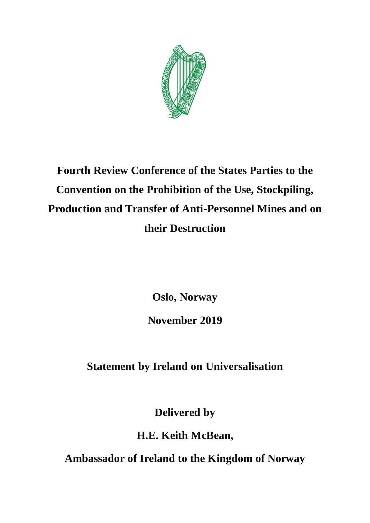

## **Fourth Review Conference of the States Parties to the Convention on the Prohibition of the Use, Stockpiling, Production and Transfer of Anti-Personnel Mines and on their Destruction**

**Oslo, Norway** 

**November 2019** 

**Statement by Ireland on Universalisation**

**Delivered by**

**H.E. Keith McBean,** 

**Ambassador of Ireland to the Kingdom of Norway**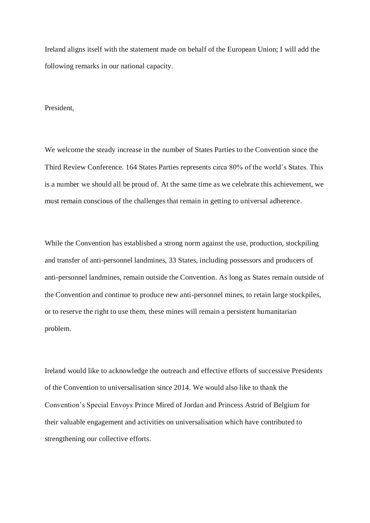Ireland aligns itself with the statement made on behalf of the European Union; I will add the following remarks in our national capacity.

President,

We welcome the steady increase in the number of States Parties to the Convention since the Third Review Conference. 164 States Parties represents circa 80% of the world's States. This is a number we should all be proud of. At the same time as we celebrate this achievement, we must remain conscious of the challenges that remain in getting to universal adherence.

While the Convention has established a strong norm against the use, production, stockpiling and transfer of anti-personnel landmines, 33 States, including possessors and producers of anti-personnel landmines, remain outside the Convention. As long as States remain outside of the Convention and continue to produce new anti-personnel mines, to retain large stockpiles, or to reserve the right to use them, these mines will remain a persistent humanitarian problem.

Ireland would like to acknowledge the outreach and effective efforts of successive Presidents of the Convention to universalisation since 2014. We would also like to thank the Convention's Special Envoys Prince Mired of Jordan and Princess Astrid of Belgium for their valuable engagement and activities on universalisation which have contributed to strengthening our collective efforts.